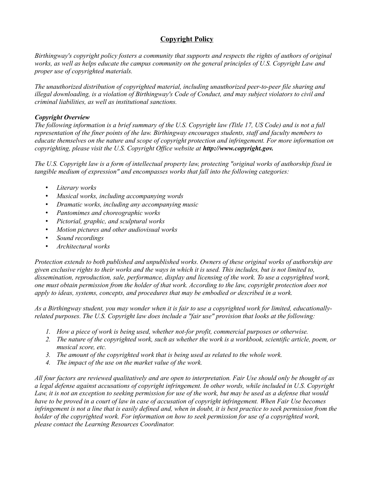# **Copyright Policy**

*Birthingway's copyright policy fosters a community that supports and respects the rights of authors of original works, as well as helps educate the campus community on the general principles of U.S. Copyright Law and proper use of copyrighted materials.* 

*The unauthorized distribution of copyrighted material, including unauthorized peer-to-peer file sharing and illegal downloading, is a violation of Birthingway's Code of Conduct, and may subject violators to civil and criminal liabilities, as well as institutional sanctions.* 

### *Copyright Overview*

*The following information is a brief summary of the U.S. Copyright law (Title 17, US Code) and is not a full representation of the finer points of the law. Birthingway encourages students, staff and faculty members to educate themselves on the nature and scope of copyright protection and infringement. For more information on copyrighting, please visit the U.S. Copyright Office website at <i>http://www.copyright.gov.* 

*The U.S. Copyright law is a form of intellectual property law, protecting "original works of authorship fixed in tangible medium of expression" and encompasses works that fall into the following categories:*

- *Literary works*
- *Musical works, including accompanying words*
- *Dramatic works, including any accompanying music*
- *Pantomimes and choreographic works*
- *Pictorial, graphic, and sculptural works*
- *Motion pictures and other audiovisual works*
- *Sound recordings*
- *Architectural works*

*Protection extends to both published and unpublished works. Owners of these original works of authorship are given exclusive rights to their works and the ways in which it is used. This includes, but is not limited to, dissemination, reproduction, sale, performance, display and licensing of the work. To use a copyrighted work, one must obtain permission from the holder of that work. According to the law, copyright protection does not apply to ideas, systems, concepts, and procedures that may be embodied or described in a work.* 

*As a Birthingway student, you may wonder when it is fair to use a copyrighted work for limited, educationallyrelated purposes. The U.S. Copyright law does include a "fair use" provision that looks at the following:*

- *1. How a piece of work is being used, whether not-for profit, commercial purposes or otherwise.*
- *2. The nature of the copyrighted work, such as whether the work is a workbook, scientific article, poem, or musical score, etc.*
- *3. The amount of the copyrighted work that is being used as related to the whole work.*
- *4. The impact of the use on the market value of the work.*

*All four factors are reviewed qualitatively and are open to interpretation. Fair Use should only be thought of as a legal defense against accusations of copyright infringement. In other words, while included in U.S. Copyright Law, it is not an exception to seeking permission for use of the work, but may be used as a defense that would have to be proved in a court of law in case of accusation of copyright infringement. When Fair Use becomes infringement is not a line that is easily defined and, when in doubt, it is best practice to seek permission from the holder of the copyrighted work. For information on how to seek permission for use of a copyrighted work, please contact the Learning Resources Coordinator.*